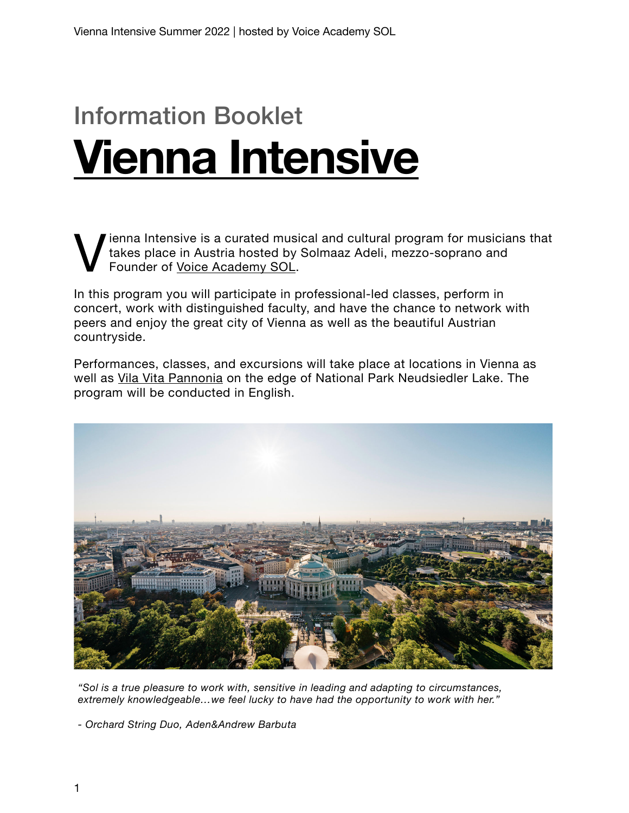# Information Booklet **[Vienna Intensive](http://www.solmaazadeli.com/vienna-intensive)**

ienna Intensive is a curated musical and cultural program for musicians that takes place in Austria hosted by Solmaaz Adeli, mezzo-soprano and Founder of [Voice Academy SOL.](http://www.solmaazadeli.com/voice-academy-sol)

In this program you will participate in professional-led classes, perform in concert, work with distinguished faculty, and have the chance to network with peers and enjoy the great city of Vienna as well as the beautiful Austrian countryside.

Performances, classes, and excursions will take place at locations in Vienna as well as [Vila Vita Pannonia](http://www.vilavitapannonia.at/) on the edge of National Park Neudsiedler Lake. The program will be conducted in English.



*"Sol is a true pleasure to work with, sensitive in leading and adapting to circumstances, extremely knowledgeable…we feel lucky to have had the opportunity to work with her."*

*- Orchard String Duo, Aden&Andrew Barbuta*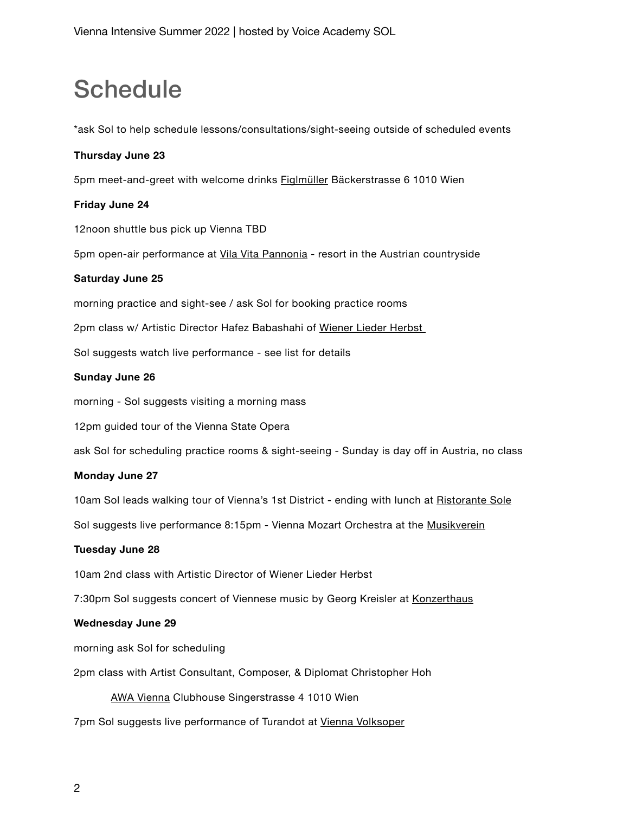# **Schedule**

\*ask Sol to help schedule lessons/consultations/sight-seeing outside of scheduled events

### **Thursday June 23**

5pm meet-and-greet with welcome drinks [Figlmüller](http://www.figlmueller.at) Bäckerstrasse 6 1010 Wien

#### **Friday June 24**

12noon shuttle bus pick up Vienna TBD

5pm open-air performance at [Vila Vita Pannonia](http://www.vilavitapannonia.at) - resort in the Austrian countryside

### **Saturday June 25**

morning practice and sight-see / ask Sol for booking practice rooms

2pm class w/ Artistic Director Hafez Babashahi of Wiener Lieder Herbst

Sol suggests watch live performance - see list for details

#### **Sunday June 26**

morning - Sol suggests visiting a morning mass

12pm guided tour of the Vienna State Opera

ask Sol for scheduling practice rooms & sight-seeing - Sunday is day off in Austria, no class

#### **Monday June 27**

10am Sol leads walking tour of Vienna's 1st District - ending with lunch at [Ristorante Sole](http://www.ristorante-sole.at)

Sol suggests live performance 8:15pm - Vienna Mozart Orchestra at the [Musikverein](https://www.musikverein.at/konzert/eventid/48824)

#### **Tuesday June 28**

10am 2nd class with Artistic Director of Wiener Lieder Herbst

7:30pm Sol suggests concert of Viennese music by Georg Kreisler at [Konzerthaus](https://konzerthaus.at/konzert/eventid/59353)

#### **Wednesday June 29**

morning ask Sol for scheduling

2pm class with Artist Consultant, Composer, & Diplomat Christopher Hoh

[AWA Vienna](http://www.awavienna.com) Clubhouse Singerstrasse 4 1010 Wien

7pm Sol suggests live performance of Turandot at [Vienna Volksoper](https://www.volksoper.at)